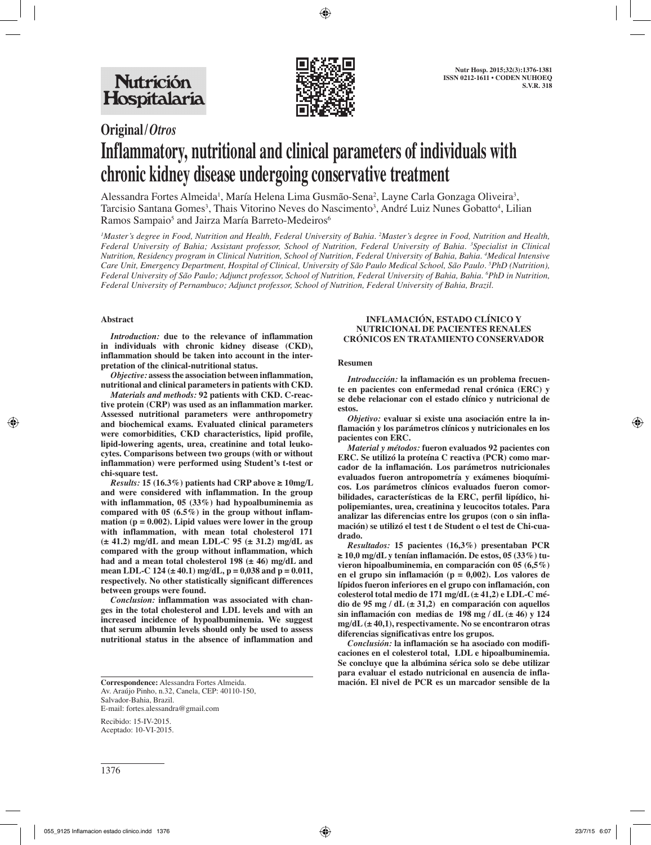

## **Original/***Otros*

# **Inflammatory, nutritional and clinical parameters of individuals with chronic kidney disease undergoing conservative treatment**

Alessandra Fortes Almeida<sup>1</sup>, María Helena Lima Gusmão-Sena<sup>2</sup>, Layne Carla Gonzaga Oliveira<sup>3</sup>, Tarcisio Santana Gomes<sup>3</sup>, Thais Vitorino Neves do Nascimento<sup>3</sup>, André Luiz Nunes Gobatto<sup>4</sup>, Lilian Ramos Sampaio<sup>5</sup> and Jairza María Barreto-Medeiros<sup>6</sup>

<sup>1</sup>Master's degree in Food, Nutrition and Health, Federal University of Bahia. <sup>2</sup>Master's degree in Food, Nutrition and Health, *Federal University of Bahia; Assistant professor, School of Nutrition, Federal University of Bahia. 3 Specialist in Clinical Nutrition, Residency program in Clinical Nutrition, School of Nutrition, Federal University of Bahia, Bahia. 4 Medical Intensive Care Unit, Emergency Department, Hospital of Clinical, University of São Paulo Medical School, São Paulo. 5 PhD (Nutrition), Federal University of São Paulo; Adjunct professor, School of Nutrition, Federal University of Bahia, Bahia. 6 PhD in Nutrition, Federal University of Pernambuco; Adjunct professor, School of Nutrition, Federal University of Bahia, Brazil.*

### **Abstract**

*Introduction:* **due to the relevance of inflammation in individuals with chronic kidney disease (CKD), inflammation should be taken into account in the interpretation of the clinical-nutritional status.**

*Objective:* **assess the association between inflammation, nutritional and clinical parameters in patients with CKD.**

*Materials and methods:* **92 patients with CKD. C-reactive protein (CRP) was used as an inflammation marker. Assessed nutritional parameters were anthropometry and biochemical exams. Evaluated clinical parameters were comorbidities, CKD characteristics, lipid profile, lipid-lowering agents, urea, creatinine and total leukocytes. Comparisons between two groups (with or without inflammation) were performed using Student's t-test or chi-square test.**

*Results:* **15 (16.3%) patients had CRP above ≥ 10mg/L and were considered with inflammation. In the group with inflammation, 05 (33%) had hypoalbuminemia as compared with 05 (6.5%) in the group without inflammation (p = 0.002). Lipid values were lower in the group with inflammation, with mean total cholesterol 171 (± 41.2) mg/dL and mean LDL-C 95 (± 31.2) mg/dL as compared with the group without inflammation, which had and a mean total cholesterol 198 (± 46) mg/dL and mean LDL-C 124 (± 40.1) mg/dL, p = 0,038 and p = 0.011, respectively. No other statistically significant differences between groups were found.**

*Conclusion:* **inflammation was associated with changes in the total cholesterol and LDL levels and with an increased incidence of hypoalbuminemia. We suggest that serum albumin levels should only be used to assess nutritional status in the absence of inflammation and** 

Av. Araújo Pinho, n.32, Canela, CEP: 40110-150, Salvador-Bahia, Brazil. E-mail: fortes.alessandra@gmail.com

Recibido: 15-IV-2015. Aceptado: 10-VI-2015.

#### **INFLAMACIÓN, ESTADO CLÍNICO Y NUTRICIONAL DE PACIENTES RENALES CRÓNICOS EN TRATAMIENTO CONSERVADOR**

#### **Resumen**

*Introducción:* **la inflamación es un problema frecuente en pacientes con enfermedad renal crónica (ERC) y se debe relacionar con el estado clínico y nutricional de estos.**

*Objetivo:* **evaluar si existe una asociación entre la inflamación y los parámetros clínicos y nutricionales en los pacientes con ERC.** 

*Material y métodos:* **fueron evaluados 92 pacientes con ERC. Se utilizó la proteína C reactiva (PCR) como marcador de la inflamación. Los parámetros nutricionales evaluados fueron antropometría y exámenes bioquímicos. Los parámetros clínicos evaluados fueron comorbilidades, características de la ERC, perfil lipídico, hipolipemiantes, urea, creatinina y leucocitos totales. Para analizar las diferencias entre los grupos (con o sin inflamación) se utilizó el test t de Student o el test de Chi-cuadrado.**

*Resultados:* **15 pacientes (16,3%) presentaban PCR ≥ 10,0 mg/dL y tenían inflamación. De estos, 05 (33%) tuvieron hipoalbuminemia, en comparación con 05 (6,5%) en el grupo sin inflamación (p = 0,002). Los valores de lípidos fueron inferiores en el grupo con inflamación, con colesterol total medio de 171 mg/dL (± 41,2) e LDL-C médio de 95 mg / dL (± 31,2) en comparación con aquellos sin inflamación con medias de 198 mg / dL (± 46) y 124 mg/dL (± 40,1), respectivamente. No se encontraron otras diferencias significativas entre los grupos.**

*Conclusión:* **la inflamación se ha asociado con modificaciones en el colesterol total, LDL e hipoalbuminemia. Se concluye que la albúmina sérica solo se debe utilizar para evaluar el estado nutricional en ausencia de infla-Correspondence:** Alessandra Fortes Almeida. **mación. El nivel de PCR es un marcador sensible de la**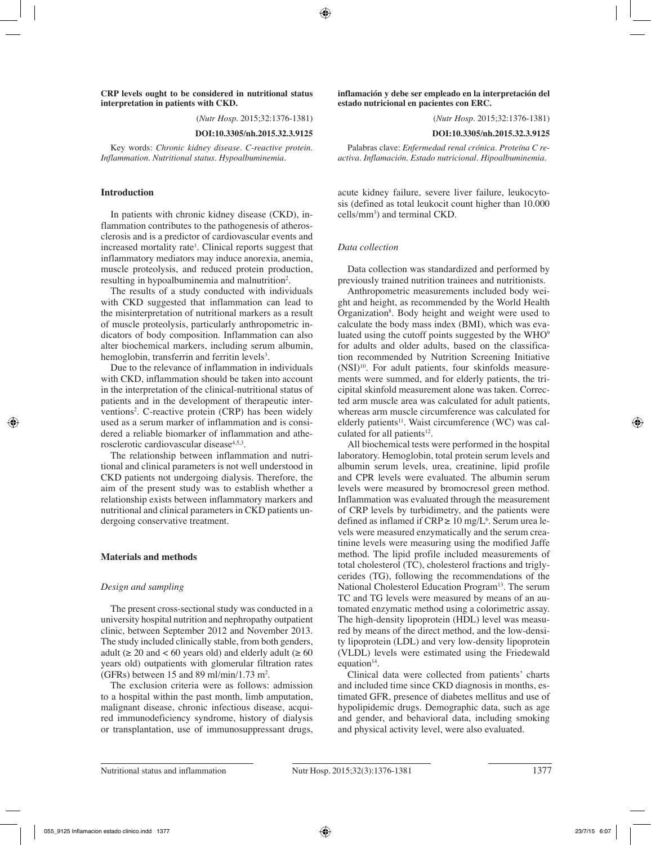#### **CRP levels ought to be considered in nutritional status interpretation in patients with CKD.**

(*Nutr Hosp.* 2015;32:1376-1381)

#### **DOI:10.3305/nh.2015.32.3.9125**

Key words: *Chronic kidney disease. C-reactive protein. Inflammation. Nutritional status. Hypoalbuminemia.*

#### **Introduction**

In patients with chronic kidney disease (CKD), inflammation contributes to the pathogenesis of atherosclerosis and is a predictor of cardiovascular events and increased mortality rate<sup>1</sup>. Clinical reports suggest that inflammatory mediators may induce anorexia, anemia, muscle proteolysis, and reduced protein production, resulting in hypoalbuminemia and malnutrition<sup>2</sup>.

The results of a study conducted with individuals with CKD suggested that inflammation can lead to the misinterpretation of nutritional markers as a result of muscle proteolysis, particularly anthropometric indicators of body composition. Inflammation can also alter biochemical markers, including serum albumin, hemoglobin, transferrin and ferritin levels<sup>3</sup>.

Due to the relevance of inflammation in individuals with CKD, inflammation should be taken into account in the interpretation of the clinical-nutritional status of patients and in the development of therapeutic interventions<sup>2</sup>. C-reactive protein (CRP) has been widely used as a serum marker of inflammation and is considered a reliable biomarker of inflammation and atherosclerotic cardiovascular disease<sup>4,5,3</sup>.

The relationship between inflammation and nutritional and clinical parameters is not well understood in CKD patients not undergoing dialysis. Therefore, the aim of the present study was to establish whether a relationship exists between inflammatory markers and nutritional and clinical parameters in CKD patients undergoing conservative treatment.

#### **Materials and methods**

#### *Design and sampling*

The present cross-sectional study was conducted in a university hospital nutrition and nephropathy outpatient clinic, between September 2012 and November 2013. The study included clinically stable, from both genders, adult ( $\geq 20$  and  $\lt 60$  years old) and elderly adult ( $\geq 60$ years old) outpatients with glomerular filtration rates (GFRs) between 15 and 89 ml/min/1.73 m<sup>2</sup>.

The exclusion criteria were as follows: admission to a hospital within the past month, limb amputation, malignant disease, chronic infectious disease, acquired immunodeficiency syndrome, history of dialysis or transplantation, use of immunosuppressant drugs, **inflamación y debe ser empleado en la interpretación del estado nutricional en pacientes con ERC.**

(*Nutr Hosp.* 2015;32:1376-1381)

**DOI:10.3305/nh.2015.32.3.9125**

Palabras clave: *Enfermedad renal crónica. Proteína C reactiva. Inflamación. Estado nutricional. Hipoalbuminemia.*

acute kidney failure, severe liver failure, leukocytosis (defined as total leukocit count higher than 10.000  $\text{cells/mm}^3$ ) and terminal CKD.

#### *Data collection*

Data collection was standardized and performed by previously trained nutrition trainees and nutritionists.

Anthropometric measurements included body weight and height, as recommended by the World Health Organization<sup>8</sup>. Body height and weight were used to calculate the body mass index (BMI), which was evaluated using the cutoff points suggested by the  $WHO<sup>9</sup>$ for adults and older adults, based on the classification recommended by Nutrition Screening Initiative (NSI)<sup>10</sup>. For adult patients, four skinfolds measurements were summed, and for elderly patients, the tricipital skinfold measurement alone was taken. Corrected arm muscle area was calculated for adult patients, whereas arm muscle circumference was calculated for elderly patients $11$ . Waist circumference (WC) was calculated for all patients $12$ .

All biochemical tests were performed in the hospital laboratory. Hemoglobin, total protein serum levels and albumin serum levels, urea, creatinine, lipid profile and CPR levels were evaluated. The albumin serum levels were measured by bromocresol green method. Inflammation was evaluated through the measurement of CRP levels by turbidimetry, and the patients were defined as inflamed if  $CRP \ge 10$  mg/ $L^6$ . Serum urea levels were measured enzymatically and the serum creatinine levels were measuring using the modified Jaffe method. The lipid profile included measurements of total cholesterol (TC), cholesterol fractions and triglycerides (TG), following the recommendations of the National Cholesterol Education Program<sup>13</sup>. The serum TC and TG levels were measured by means of an automated enzymatic method using a colorimetric assay. The high-density lipoprotein (HDL) level was measured by means of the direct method, and the low-density lipoprotein (LDL) and very low-density lipoprotein (VLDL) levels were estimated using the Friedewald equation $14$ .

Clinical data were collected from patients' charts and included time since CKD diagnosis in months, estimated GFR, presence of diabetes mellitus and use of hypolipidemic drugs. Demographic data, such as age and gender, and behavioral data, including smoking and physical activity level, were also evaluated.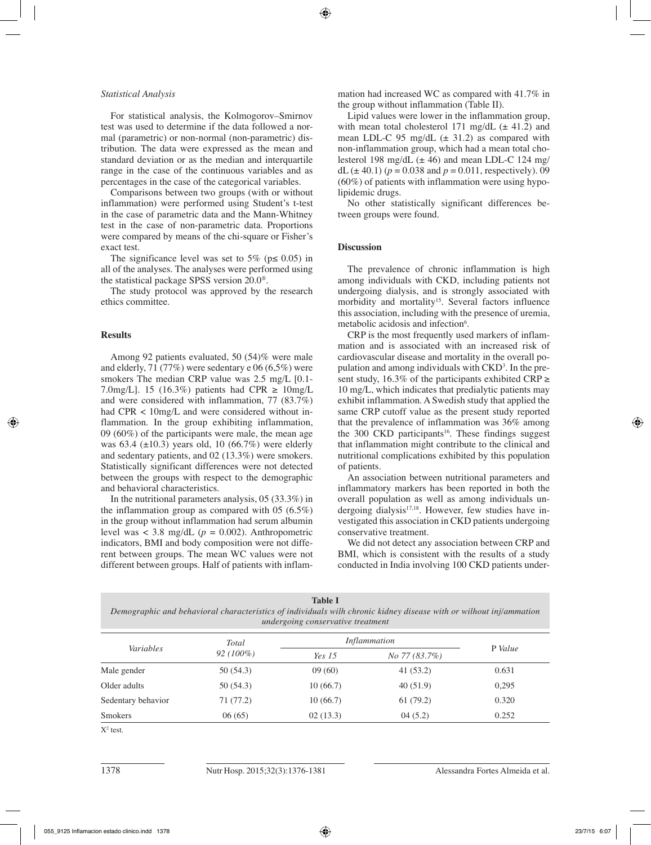#### *Statistical Analysis*

For statistical analysis, the Kolmogorov–Smirnov test was used to determine if the data followed a normal (parametric) or non-normal (non-parametric) distribution. The data were expressed as the mean and standard deviation or as the median and interquartile range in the case of the continuous variables and as percentages in the case of the categorical variables.

Comparisons between two groups (with or without inflammation) were performed using Student's t-test in the case of parametric data and the Mann-Whitney test in the case of non-parametric data. Proportions were compared by means of the chi-square or Fisher's exact test.

The significance level was set to 5% ( $p \le 0.05$ ) in all of the analyses. The analyses were performed using the statistical package SPSS version 20.0®.

The study protocol was approved by the research ethics committee.

#### **Results**

Among 92 patients evaluated, 50 (54)% were male and elderly, 71 (77%) were sedentary e 06 (6,5%) were smokers The median CRP value was 2.5 mg/L [0.1- 7.0mg/L]. 15 (16.3%) patients had CPR  $\geq 10$ mg/L and were considered with inflammation, 77 (83.7%) had CPR < 10mg/L and were considered without inflammation. In the group exhibiting inflammation, 09 (60%) of the participants were male, the mean age was  $63.4$  ( $\pm 10.3$ ) years old, 10 (66.7%) were elderly and sedentary patients, and 02 (13.3%) were smokers. Statistically significant differences were not detected between the groups with respect to the demographic and behavioral characteristics.

In the nutritional parameters analysis, 05 (33.3%) in the inflammation group as compared with 05 (6.5%) in the group without inflammation had serum albumin level was  $\langle 3.8 \text{ mg/dL} (p = 0.002)$ . Anthropometric indicators, BMI and body composition were not different between groups. The mean WC values were not different between groups. Half of patients with inflammation had increased WC as compared with 41.7% in the group without inflammation (Table II).

Lipid values were lower in the inflammation group, with mean total cholesterol 171 mg/dL  $(\pm 41.2)$  and mean LDL-C 95 mg/dL  $(\pm 31.2)$  as compared with non-inflammation group, which had a mean total cholesterol 198 mg/dL  $(\pm 46)$  and mean LDL-C 124 mg/ dL ( $\pm$  40.1) ( $p = 0.038$  and  $p = 0.011$ , respectively). 09 (60%) of patients with inflammation were using hypolipidemic drugs.

No other statistically significant differences between groups were found.

#### **Discussion**

The prevalence of chronic inflammation is high among individuals with CKD, including patients not undergoing dialysis, and is strongly associated with morbidity and mortality<sup>15</sup>. Several factors influence this association, including with the presence of uremia, metabolic acidosis and infection<sup>6</sup>.

CRP is the most frequently used markers of inflammation and is associated with an increased risk of cardiovascular disease and mortality in the overall population and among individuals with CKD<sup>3</sup>. In the present study, 16.3% of the participants exhibited CRP  $\geq$ 10 mg/L, which indicates that predialytic patients may exhibit inflammation. A Swedish study that applied the same CRP cutoff value as the present study reported that the prevalence of inflammation was 36% among the 300 CKD participants<sup>16</sup>. These findings suggest that inflammation might contribute to the clinical and nutritional complications exhibited by this population of patients.

An association between nutritional parameters and inflammatory markers has been reported in both the overall population as well as among individuals undergoing dialysis<sup>17,18</sup>. However, few studies have investigated this association in CKD patients undergoing conservative treatment.

We did not detect any association between CRP and BMI, which is consistent with the results of a study conducted in India involving 100 CKD patients under-

| <b>Table I</b>                                                                                                     |
|--------------------------------------------------------------------------------------------------------------------|
| Demographic and behavioral characteristics of individuals wilh chronic kidney disease with or wilhout inj/ammation |
| undergoing conservative treatment                                                                                  |

| Variables          | Total<br>$92(100\%)$ | Inflammation  |               |         |
|--------------------|----------------------|---------------|---------------|---------|
|                    |                      | <i>Yes</i> 15 | No 77 (83.7%) | P Value |
| Male gender        | 50(54.3)             | 09(60)        | 41(53.2)      | 0.631   |
| Older adults       | 50(54.3)             | 10(66.7)      | 40(51.9)      | 0,295   |
| Sedentary behavior | 71 (77.2)            | 10(66.7)      | 61(79.2)      | 0.320   |
| <b>Smokers</b>     | 06(65)               | 02(13.3)      | 04(5.2)       | 0.252   |

 $X^2$  test.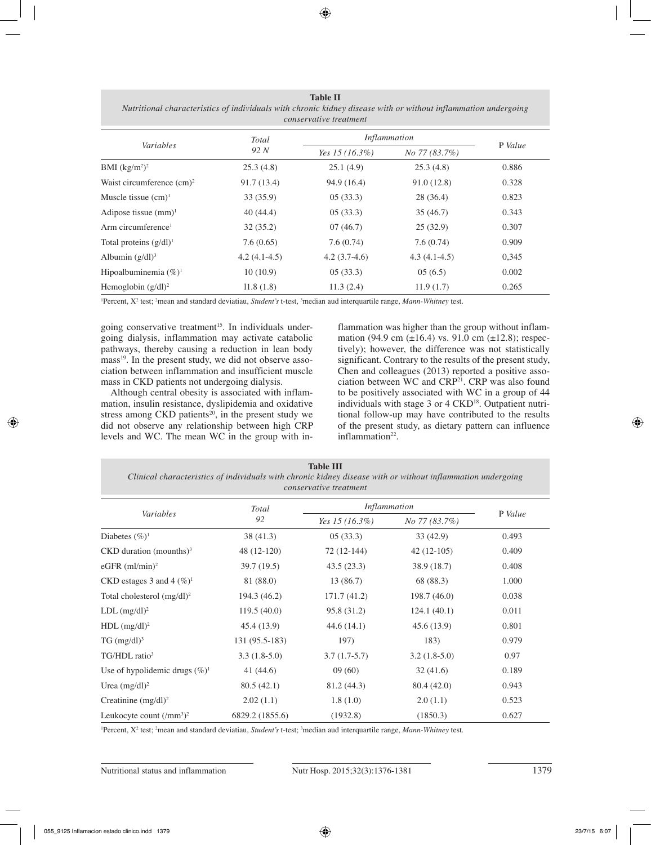| conservative treatment         |                |                     |                |         |  |  |  |
|--------------------------------|----------------|---------------------|----------------|---------|--|--|--|
| Variables                      | Total<br>92 N  | <i>Inflammation</i> |                |         |  |  |  |
|                                |                | Yes 15 $(16.3\%)$   | No 77 (83.7%)  | P Value |  |  |  |
| BMI $(kg/m^2)^2$               | 25.3(4.8)      | 25.1(4.9)           | 25.3(4.8)      | 0.886   |  |  |  |
| Waist circumference $(cm)^2$   | 91.7(13.4)     | 94.9 (16.4)         | 91.0(12.8)     | 0.328   |  |  |  |
| Muscle tissue $(cm)^1$         | 33(35.9)       | 05(33.3)            | 28 (36.4)      | 0.823   |  |  |  |
| Adipose tissue $(mm)^1$        | 40(44.4)       | 05(33.3)            | 35(46.7)       | 0.343   |  |  |  |
| Arm circumference <sup>1</sup> | 32(35.2)       | 07(46.7)            | 25(32.9)       | 0.307   |  |  |  |
| Total proteins $(g/dl)^1$      | 7.6(0.65)      | 7.6(0.74)           | 7.6(0.74)      | 0.909   |  |  |  |
| Albumin $(g/dl)^3$             | $4.2(4.1-4.5)$ | $4.2(3.7-4.6)$      | $4.3(4.1-4.5)$ | 0,345   |  |  |  |
| Hipoalbuminemia $(\%)^1$       | 10(10.9)       | 05(33.3)            | 05(6.5)        | 0.002   |  |  |  |
| Hemoglobin $(g/dl)^2$          | 11.8(1.8)      | 11.3(2.4)           | 11.9(1.7)      | 0.265   |  |  |  |

**Table II** *Nutritional characteristics of individuals with chronic kidney disease with or without inflammation undergoing* 

<sup>1</sup>Percent, X<sup>2</sup> test; <sup>2</sup>mean and standard deviatiau, *Student's* t-test, <sup>3</sup>median aud interquartile range, *Mann-Whitney* test.

going conservative treatment<sup>15</sup>. In individuals undergoing dialysis, inflammation may activate catabolic pathways, thereby causing a reduction in lean body mass<sup>19</sup>. In the present study, we did not observe association between inflammation and insufficient muscle mass in CKD patients not undergoing dialysis.

Although central obesity is associated with inflammation, insulin resistance, dyslipidemia and oxidative stress among CKD patients<sup>20</sup>, in the present study we did not observe any relationship between high CRP levels and WC. The mean WC in the group with inflammation was higher than the group without inflammation (94.9 cm ( $\pm$ 16.4) vs. 91.0 cm ( $\pm$ 12.8); respectively); however, the difference was not statistically significant. Contrary to the results of the present study, Chen and colleagues (2013) reported a positive association between WC and CRP<sup>21</sup>. CRP was also found to be positively associated with WC in a group of 44 individuals with stage 3 or 4 CKD<sup>18</sup>. Outpatient nutritional follow-up may have contributed to the results of the present study, as dietary pattern can influence inflammation<sup>22</sup>.

| <b>Table III</b><br>Clinical characteristics of individuals with chronic kidney disease with or without inflammation undergoing<br>conservative treatment |                 |                     |                |         |  |  |  |  |
|-----------------------------------------------------------------------------------------------------------------------------------------------------------|-----------------|---------------------|----------------|---------|--|--|--|--|
| Variables                                                                                                                                                 | Total<br>92     | <b>Inflammation</b> |                |         |  |  |  |  |
|                                                                                                                                                           |                 | Yes 15 $(16.3\%)$   | No 77 (83.7%)  | P Value |  |  |  |  |
| Diabetes $(\%)^1$                                                                                                                                         | 38(41.3)        | 05(33.3)            | 33(42.9)       | 0.493   |  |  |  |  |
| $CKD$ duration (mounths) <sup>3</sup>                                                                                                                     | 48 (12-120)     | $72(12-144)$        | $42(12-105)$   | 0.409   |  |  |  |  |
| eGFR $(ml/min)^2$                                                                                                                                         | 39.7(19.5)      | 43.5(23.3)          | 38.9(18.7)     | 0.408   |  |  |  |  |
| CKD estages 3 and 4 $(\%)^1$                                                                                                                              | 81 (88.0)       | 13 (86.7)           | 68 (88.3)      | 1.000   |  |  |  |  |
| Total cholesterol $(mg/dl)^2$                                                                                                                             | 194.3 (46.2)    | 171.7(41.2)         | 198.7(46.0)    | 0.038   |  |  |  |  |
| $LDL$ (mg/dl) <sup>2</sup>                                                                                                                                | 119.5(40.0)     | 95.8 (31.2)         | 124.1(40.1)    | 0.011   |  |  |  |  |
| $HDL$ (mg/dl) <sup>2</sup>                                                                                                                                | 45.4 (13.9)     | 44.6(14.1)          | 45.6(13.9)     | 0.801   |  |  |  |  |
| $TG \, (mg/dl)^3$                                                                                                                                         | 131 (95.5-183)  | 197)                | 183)           | 0.979   |  |  |  |  |
| $TG/HDL$ ratio <sup>3</sup>                                                                                                                               | $3.3(1.8-5.0)$  | $3.7(1.7-5.7)$      | $3.2(1.8-5.0)$ | 0.97    |  |  |  |  |
| Use of hypolidemic drugs $(\%)^1$                                                                                                                         | 41 (44.6)       | 09(60)              | 32(41.6)       | 0.189   |  |  |  |  |
| Urea $(mg/dl)^2$                                                                                                                                          | 80.5(42.1)      | 81.2 (44.3)         | 80.4(42.0)     | 0.943   |  |  |  |  |
| Creatinine $(mg/dl)^2$                                                                                                                                    | 2.02(1.1)       | 1.8(1.0)            | 2.0(1.1)       | 0.523   |  |  |  |  |
| Leukocyte count $(\text{/mm}^3)^2$                                                                                                                        | 6829.2 (1855.6) | (1932.8)            | (1850.3)       | 0.627   |  |  |  |  |

<sup>1</sup> Percent, X<sup>2</sup> test; <sup>2</sup> mean and standard deviatiau, *Student's* t-test; <sup>3</sup> median aud interquartile range, *Mann-Whitney* test.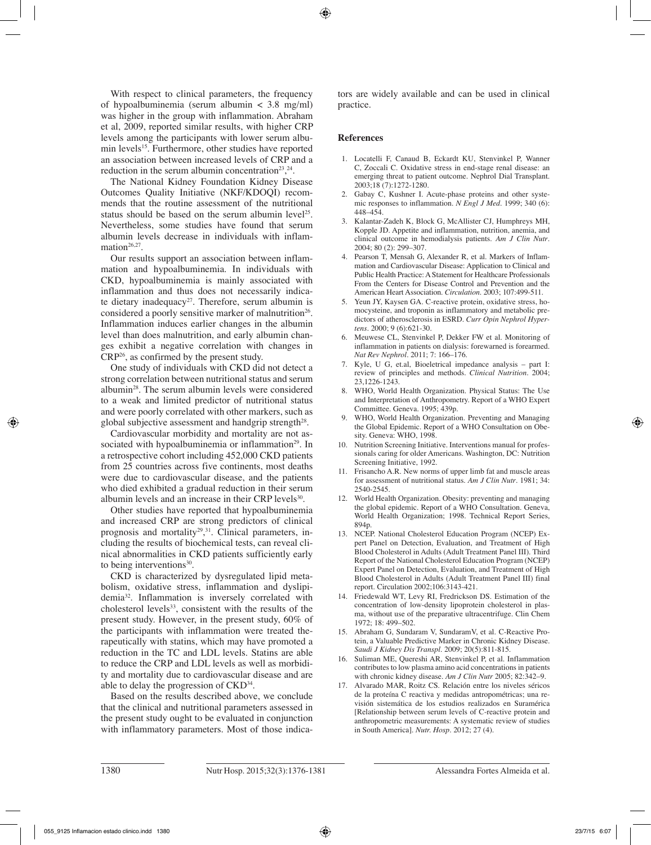With respect to clinical parameters, the frequency of hypoalbuminemia (serum albumin < 3.8 mg/ml) was higher in the group with inflammation. Abraham et al, 2009, reported similar results, with higher CRP levels among the participants with lower serum albumin levels<sup>15</sup>. Furthermore, other studies have reported an association between increased levels of CRP and a reduction in the serum albumin concentration<sup>23</sup>,<sup>24</sup>.

The National Kidney Foundation Kidney Disease Outcomes Quality Initiative (NKF/KDOQI) recommends that the routine assessment of the nutritional status should be based on the serum albumin level<sup>25</sup>. Nevertheless, some studies have found that serum albumin levels decrease in individuals with inflammation<sup>26,27</sup>.

Our results support an association between inflammation and hypoalbuminemia. In individuals with CKD, hypoalbuminemia is mainly associated with inflammation and thus does not necessarily indicate dietary inadequacy<sup>27</sup>. Therefore, serum albumin is considered a poorly sensitive marker of malnutrition<sup>26</sup>. Inflammation induces earlier changes in the albumin level than does malnutrition, and early albumin changes exhibit a negative correlation with changes in CRP26, as confirmed by the present study.

One study of individuals with CKD did not detect a strong correlation between nutritional status and serum albumin28. The serum albumin levels were considered to a weak and limited predictor of nutritional status and were poorly correlated with other markers, such as global subjective assessment and handgrip strength<sup>28</sup>.

Cardiovascular morbidity and mortality are not associated with hypoalbuminemia or inflammation<sup>29</sup>. In a retrospective cohort including 452,000 CKD patients from 25 countries across five continents, most deaths were due to cardiovascular disease, and the patients who died exhibited a gradual reduction in their serum albumin levels and an increase in their CRP levels<sup>30</sup>.

Other studies have reported that hypoalbuminemia and increased CRP are strong predictors of clinical prognosis and mortality<sup>29</sup>,<sup>31</sup>. Clinical parameters, including the results of biochemical tests, can reveal clinical abnormalities in CKD patients sufficiently early to being interventions $30$ .

CKD is characterized by dysregulated lipid metabolism, oxidative stress, inflammation and dyslipidemia32. Inflammation is inversely correlated with cholesterol levels $33$ , consistent with the results of the present study. However, in the present study, 60% of the participants with inflammation were treated therapeutically with statins, which may have promoted a reduction in the TC and LDL levels. Statins are able to reduce the CRP and LDL levels as well as morbidity and mortality due to cardiovascular disease and are able to delay the progression of CKD34.

Based on the results described above, we conclude that the clinical and nutritional parameters assessed in the present study ought to be evaluated in conjunction with inflammatory parameters. Most of those indicators are widely available and can be used in clinical practice.

### **References**

- 1. Locatelli F, Canaud B, Eckardt KU, Stenvinkel P, Wanner C, Zoccali C. Oxidative stress in end-stage renal disease: an emerging threat to patient outcome. Nephrol Dial Transplant. 2003;18 (7):1272-1280.
- 2. Gabay C, Kushner I. Acute-phase proteins and other systemic responses to inflammation. *N Engl J Med*. 1999; 340 (6): 448–454.
- 3. Kalantar-Zadeh K, Block G, McAllister CJ, Humphreys MH, Kopple JD. Appetite and inflammation, nutrition, anemia, and clinical outcome in hemodialysis patients. *Am J Clin Nutr*. 2004; 80 (2): 299–307.
- 4. Pearson T, Mensah G, Alexander R, et al. Markers of Inflammation and Cardiovascular Disease: Application to Clinical and Public Health Practice: A Statement for Healthcare Professionals From the Centers for Disease Control and Prevention and the American Heart Association. *Circulation.* 2003; 107:499-511.
- 5. Yeun JY, Kaysen GA. C-reactive protein, oxidative stress, homocysteine, and troponin as inflammatory and metabolic predictors of atherosclerosis in ESRD. *Curr Opin Nephrol Hypertens*. 2000; 9 (6):621-30.
- 6. Meuwese CL, Stenvinkel P, Dekker FW et al. Monitoring of inflammation in patients on dialysis: forewarned is forearmed. *Nat Rev Nephrol*. 2011; 7: 166–176.
- 7. Kyle, U G, et.al, Bioeletrical impedance analysis part I: review of principles and methods. *Clinical Nutrition*. 2004; 23,1226-1243.
- 8. WHO, World Health Organization. Physical Status: The Use and Interpretation of Anthropometry. Report of a WHO Expert Committee. Geneva. 1995; 439p.
- 9. WHO, World Health Organization. Preventing and Managing the Global Epidemic. Report of a WHO Consultation on Obesity. Geneva: WHO, 1998.
- 10. Nutrition Screening Initiative. Interventions manual for professionals caring for older Americans. Washington, DC: Nutrition Screening Initiative, 1992.
- 11. Frisancho A.R. New norms of upper limb fat and muscle areas for assessment of nutritional status. *Am J Clin Nutr*. 1981; 34: 2540-2545.
- 12. World Health Organization. Obesity: preventing and managing the global epidemic. Report of a WHO Consultation. Geneva, World Health Organization; 1998. Technical Report Series, 894p.
- 13. NCEP. National Cholesterol Education Program (NCEP) Expert Panel on Detection, Evaluation, and Treatment of High Blood Cholesterol in Adults (Adult Treatment Panel III). Third Report of the National Cholesterol Education Program (NCEP) Expert Panel on Detection, Evaluation, and Treatment of High Blood Cholesterol in Adults (Adult Treatment Panel III) final report. Circulation 2002;106:3143-421.
- 14. Friedewald WT, Levy RI, Fredrickson DS. Estimation of the concentration of low-density lipoprotein cholesterol in plasma, without use of the preparative ultracentrifuge. Clin Chem 1972; 18: 499–502.
- 15. Abraham G, Sundaram V, SundaramV, et al. C-Reactive Protein, a Valuable Predictive Marker in Chronic Kidney Disease. *Saudi J Kidney Dis Transpl*. 2009; 20(5):811-815.
- 16. Suliman ME, Quereshi AR, Stenvinkel P, et al. Inflammation contributes to low plasma amino acid concentrations in patients with chronic kidney disease. *Am J Clin Nutr* 2005; 82:342–9.
- 17. Alvarado MAR, Roitz CS. Relación entre los niveles séricos de la proteína C reactiva y medidas antropométricas; una revisión sistemática de los estudios realizados en Suramérica [Relationship between serum levels of C-reactive protein and anthropometric measurements: A systematic review of studies in South America]. *Nutr. Hosp*. 2012; 27 (4).